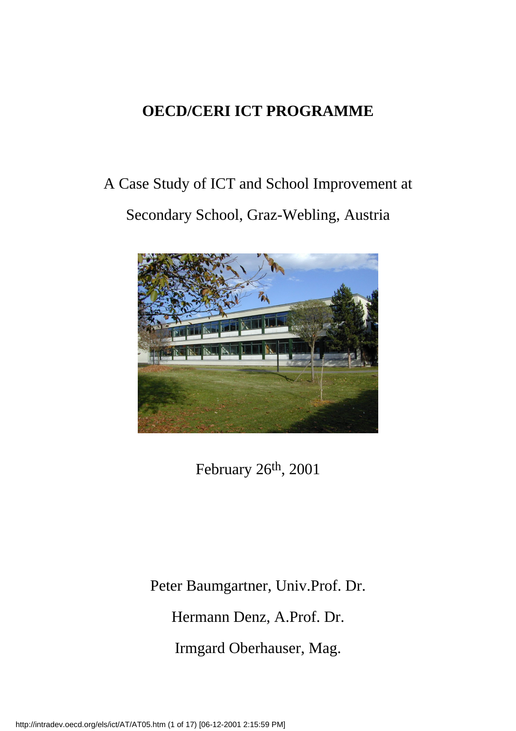### **OECD/CERI ICT PROGRAMME**

# A Case Study of ICT and School Improvement at Secondary School, Graz-Webling, Austria



February 26th, 2001

Peter Baumgartner, Univ.Prof. Dr.

Hermann Denz, A.Prof. Dr.

Irmgard Oberhauser, Mag.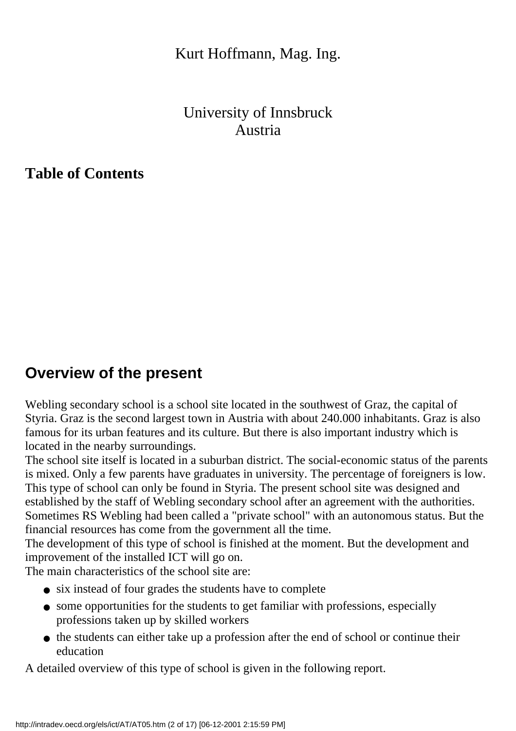#### Kurt Hoffmann, Mag. Ing.

#### University of Innsbruck Austria

**Table of Contents**

### **Overview of the present**

Webling secondary school is a school site located in the southwest of Graz, the capital of Styria. Graz is the second largest town in Austria with about 240.000 inhabitants. Graz is also famous for its urban features and its culture. But there is also important industry which is located in the nearby surroundings.

The school site itself is located in a suburban district. The social-economic status of the parents is mixed. Only a few parents have graduates in university. The percentage of foreigners is low. This type of school can only be found in Styria. The present school site was designed and established by the staff of Webling secondary school after an agreement with the authorities. Sometimes RS Webling had been called a "private school" with an autonomous status. But the financial resources has come from the government all the time.

The development of this type of school is finished at the moment. But the development and improvement of the installed ICT will go on.

The main characteristics of the school site are:

- six instead of four grades the students have to complete
- some opportunities for the students to get familiar with professions, especially professions taken up by skilled workers
- the students can either take up a profession after the end of school or continue their education

A detailed overview of this type of school is given in the following report.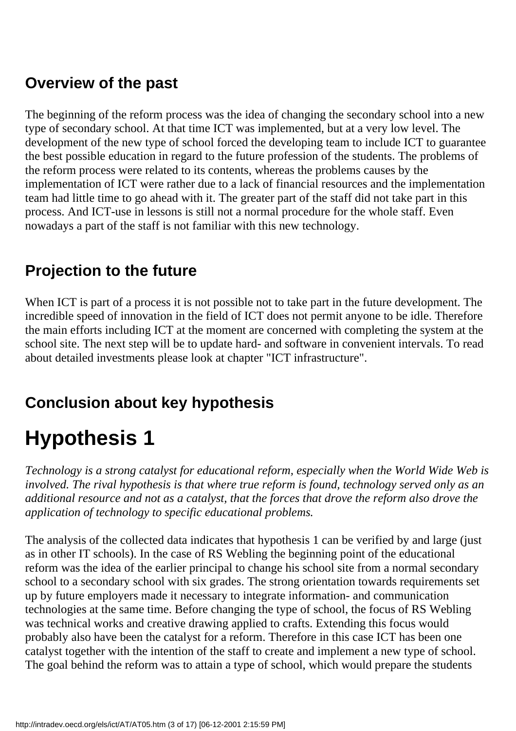### **Overview of the past**

The beginning of the reform process was the idea of changing the secondary school into a new type of secondary school. At that time ICT was implemented, but at a very low level. The development of the new type of school forced the developing team to include ICT to guarantee the best possible education in regard to the future profession of the students. The problems of the reform process were related to its contents, whereas the problems causes by the implementation of ICT were rather due to a lack of financial resources and the implementation team had little time to go ahead with it. The greater part of the staff did not take part in this process. And ICT-use in lessons is still not a normal procedure for the whole staff. Even nowadays a part of the staff is not familiar with this new technology.

## **Projection to the future**

When ICT is part of a process it is not possible not to take part in the future development. The incredible speed of innovation in the field of ICT does not permit anyone to be idle. Therefore the main efforts including ICT at the moment are concerned with completing the system at the school site. The next step will be to update hard- and software in convenient intervals. To read about detailed investments please look at chapter "ICT infrastructure".

## **Conclusion about key hypothesis**

# **Hypothesis 1**

*Technology is a strong catalyst for educational reform, especially when the World Wide Web is involved. The rival hypothesis is that where true reform is found, technology served only as an additional resource and not as a catalyst, that the forces that drove the reform also drove the application of technology to specific educational problems.*

The analysis of the collected data indicates that hypothesis 1 can be verified by and large (just as in other IT schools). In the case of RS Webling the beginning point of the educational reform was the idea of the earlier principal to change his school site from a normal secondary school to a secondary school with six grades. The strong orientation towards requirements set up by future employers made it necessary to integrate information- and communication technologies at the same time. Before changing the type of school, the focus of RS Webling was technical works and creative drawing applied to crafts. Extending this focus would probably also have been the catalyst for a reform. Therefore in this case ICT has been one catalyst together with the intention of the staff to create and implement a new type of school. The goal behind the reform was to attain a type of school, which would prepare the students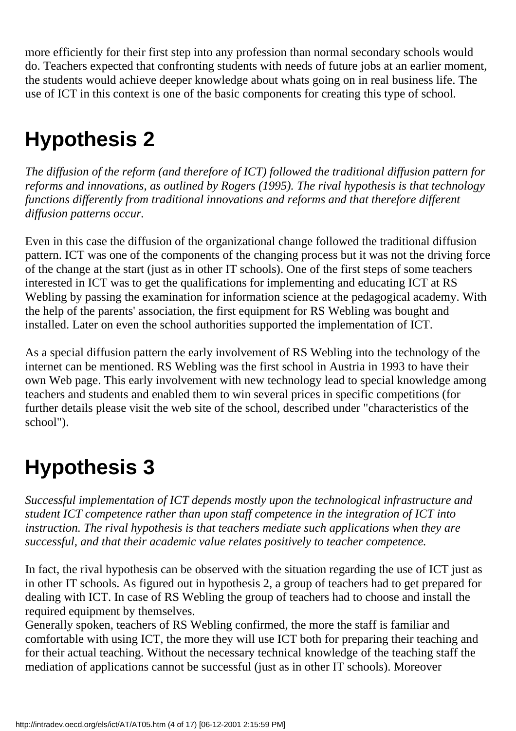more efficiently for their first step into any profession than normal secondary schools would do. Teachers expected that confronting students with needs of future jobs at an earlier moment, the students would achieve deeper knowledge about what s going on in real business life. The use of ICT in this context is one of the basic components for creating this type of school.

# **Hypothesis 2**

*The diffusion of the reform (and therefore of ICT) followed the traditional diffusion pattern for reforms and innovations, as outlined by Rogers (1995). The rival hypothesis is that technology functions differently from traditional innovations and reforms and that therefore different diffusion patterns occur.*

Even in this case the diffusion of the organizational change followed the traditional diffusion pattern. ICT was one of the components of the changing process but it was not the driving force of the change at the start (just as in other IT schools). One of the first steps of some teachers interested in ICT was to get the qualifications for implementing and educating ICT at RS Webling by passing the examination for information science at the pedagogical academy. With the help of the parents' association, the first equipment for RS Webling was bought and installed. Later on even the school authorities supported the implementation of ICT.

As a special diffusion pattern the early involvement of RS Webling into the technology of the internet can be mentioned. RS Webling was the first school in Austria in 1993 to have their own Web page. This early involvement with new technology lead to special knowledge among teachers and students and enabled them to win several prices in specific competitions (for further details please visit the web site of the school, described under "characteristics of the school").

# **Hypothesis 3**

*Successful implementation of ICT depends mostly upon the technological infrastructure and student ICT competence rather than upon staff competence in the integration of ICT into instruction. The rival hypothesis is that teachers mediate such applications when they are successful, and that their academic value relates positively to teacher competence.*

In fact, the rival hypothesis can be observed with the situation regarding the use of ICT just as in other IT schools. As figured out in hypothesis 2, a group of teachers had to get prepared for dealing with ICT. In case of RS Webling the group of teachers had to choose and install the required equipment by themselves.

Generally spoken, teachers of RS Webling confirmed, the more the staff is familiar and comfortable with using ICT, the more they will use ICT both for preparing their teaching and for their actual teaching. Without the necessary technical knowledge of the teaching staff the mediation of applications cannot be successful (just as in other IT schools). Moreover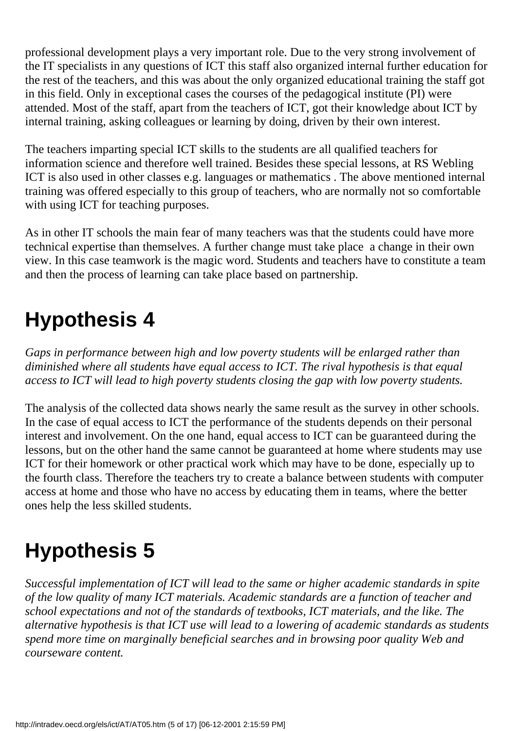professional development plays a very important role. Due to the very strong involvement of the IT specialists in any questions of ICT this staff also organized internal further education for the rest of the teachers, and this was about the only organized educational training the staff got in this field. Only in exceptional cases the courses of the pedagogical institute (PI) were attended. Most of the staff, apart from the teachers of ICT, got their knowledge about ICT by internal training, asking colleagues or learning by doing, driven by their own interest.

The teachers imparting special ICT skills to the students are all qualified teachers for information science and therefore well trained. Besides these special lessons, at RS Webling ICT is also used in other classes e.g. languages or mathematics . The above mentioned internal training was offered especially to this group of teachers, who are normally not so comfortable with using ICT for teaching purposes.

As in other IT schools the main fear of many teachers was that the students could have more technical expertise than themselves. A further change must take place a change in their own view. In this case teamwork is the magic word. Students and teachers have to constitute a team and then the process of learning can take place based on partnership.

# **Hypothesis 4**

*Gaps in performance between high and low poverty students will be enlarged rather than diminished where all students have equal access to ICT. The rival hypothesis is that equal access to ICT will lead to high poverty students closing the gap with low poverty students.*

The analysis of the collected data shows nearly the same result as the survey in other schools. In the case of equal access to ICT the performance of the students depends on their personal interest and involvement. On the one hand, equal access to ICT can be guaranteed during the lessons, but on the other hand the same cannot be guaranteed at home where students may use ICT for their homework or other practical work which may have to be done, especially up to the fourth class. Therefore the teachers try to create a balance between students with computer access at home and those who have no access by educating them in teams, where the better ones help the less skilled students.

# **Hypothesis 5**

*Successful implementation of ICT will lead to the same or higher academic standards in spite of the low quality of many ICT materials. Academic standards are a function of teacher and school expectations and not of the standards of textbooks, ICT materials, and the like. The alternative hypothesis is that ICT use will lead to a lowering of academic standards as students spend more time on marginally beneficial searches and in browsing poor quality Web and courseware content.*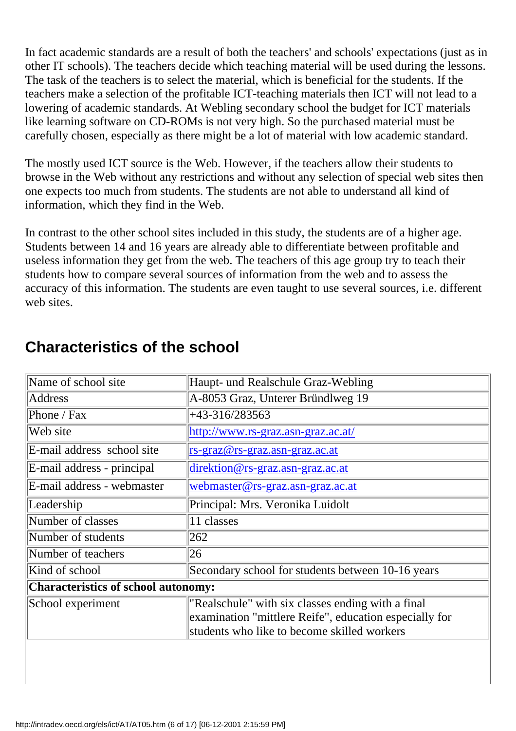In fact academic standards are a result of both the teachers' and schools' expectations (just as in other IT schools). The teachers decide which teaching material will be used during the lessons. The task of the teachers is to select the material, which is beneficial for the students. If the teachers make a selection of the profitable ICT-teaching materials then ICT will not lead to a lowering of academic standards. At Webling secondary school the budget for ICT materials like learning software on CD-ROM s is not very high. So the purchased material must be carefully chosen, especially as there might be a lot of material with low academic standard.

The mostly used ICT source is the Web. However, if the teachers allow their students to browse in the Web without any restrictions and without any selection of special web sites then one expects too much from students. The students are not able to understand all kind of information, which they find in the Web.

In contrast to the other school sites included in this study, the students are of a higher age. Students between 14 and 16 years are already able to differentiate between profitable and useless information they get from the web. The teachers of this age group try to teach their students how to compare several sources of information from the web and to assess the accuracy of this information. The students are even taught to use several sources, i.e. different web sites.

| Haupt- und Realschule Graz-Webling                                                                                                                         |
|------------------------------------------------------------------------------------------------------------------------------------------------------------|
| A-8053 Graz, Unterer Bründlweg 19                                                                                                                          |
| +43-316/283563                                                                                                                                             |
| http://www.rs-graz.asn-graz.ac.at/                                                                                                                         |
| rs-graz@rs-graz.asn-graz.ac.at                                                                                                                             |
| $\text{direction@rs-graz.}$ asn-graz.ac.at                                                                                                                 |
| webmaster@rs-graz.asn-graz.ac.at                                                                                                                           |
| Principal: Mrs. Veronika Luidolt                                                                                                                           |
| 11 classes                                                                                                                                                 |
| 262                                                                                                                                                        |
| 26                                                                                                                                                         |
| Secondary school for students between 10-16 years                                                                                                          |
| <b>Characteristics of school autonomy:</b>                                                                                                                 |
| "Realschule" with six classes ending with a final<br>examination "mittlere Reife", education especially for<br>students who like to become skilled workers |
|                                                                                                                                                            |

### **Characteristics of the school**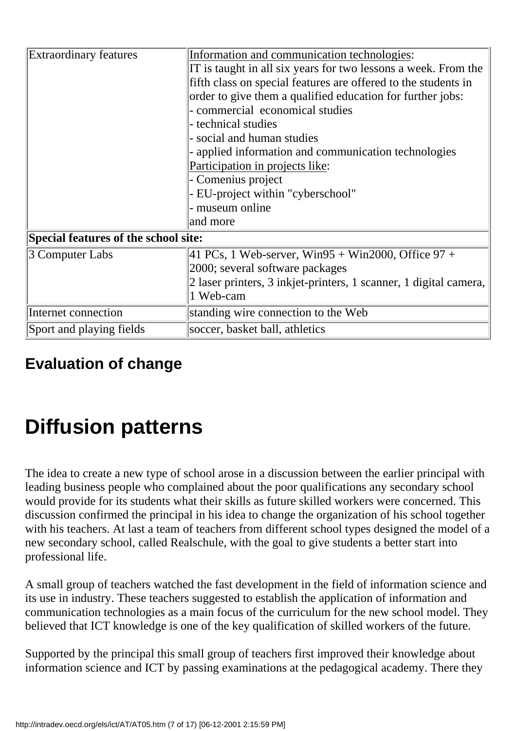| <b>Extraordinary features</b>        | Information and communication technologies:<br>IT is taught in all six years for two lessons a week. From the<br>fifth class on special features are offered to the students in<br>order to give them a qualified education for further jobs: |  |  |  |  |
|--------------------------------------|-----------------------------------------------------------------------------------------------------------------------------------------------------------------------------------------------------------------------------------------------|--|--|--|--|
|                                      | - commercial economical studies                                                                                                                                                                                                               |  |  |  |  |
|                                      | - technical studies                                                                                                                                                                                                                           |  |  |  |  |
|                                      | - social and human studies                                                                                                                                                                                                                    |  |  |  |  |
|                                      | - applied information and communication technologies                                                                                                                                                                                          |  |  |  |  |
|                                      | Participation in projects like:                                                                                                                                                                                                               |  |  |  |  |
|                                      | - Comenius project                                                                                                                                                                                                                            |  |  |  |  |
|                                      | - EU-project within "cyberschool"                                                                                                                                                                                                             |  |  |  |  |
|                                      | - museum online                                                                                                                                                                                                                               |  |  |  |  |
|                                      | and more                                                                                                                                                                                                                                      |  |  |  |  |
| Special features of the school site: |                                                                                                                                                                                                                                               |  |  |  |  |
| 3 Computer Labs                      | $ 41 \text{ PC s}, 1 \text{ Web-server}, \text{Win95} + \text{Win2000}, \text{Office 97} +$                                                                                                                                                   |  |  |  |  |
|                                      | 2000; several software packages                                                                                                                                                                                                               |  |  |  |  |
|                                      | 2 laser printers, 3 inkjet-printers, 1 scanner, 1 digital camera,                                                                                                                                                                             |  |  |  |  |
|                                      | 1 Web-cam                                                                                                                                                                                                                                     |  |  |  |  |
| Internet connection                  | standing wire connection to the Web                                                                                                                                                                                                           |  |  |  |  |
| Sport and playing fields             | soccer, basket ball, athletics                                                                                                                                                                                                                |  |  |  |  |

### **Evaluation of change**

# **Diffusion patterns**

The idea to create a new type of school arose in a discussion between the earlier principal with leading business people who complained about the poor qualifications any secondary school would provide for its students what their skills as future skilled workers were concerned. This discussion confirmed the principal in his idea to change the organization of his school together with his teachers. At last a team of teachers from different school types designed the model of a new secondary school, called Realschule, with the goal to give students a better start into professional life.

A small group of teachers watched the fast development in the field of information science and its use in industry. These teachers suggested to establish the application of information and communication technologies as a main focus of the curriculum for the new school model. They believed that ICT knowledge is one of the key qualification of skilled workers of the future.

Supported by the principal this small group of teachers first improved their knowledge about information science and ICT by passing examinations at the pedagogical academy. There they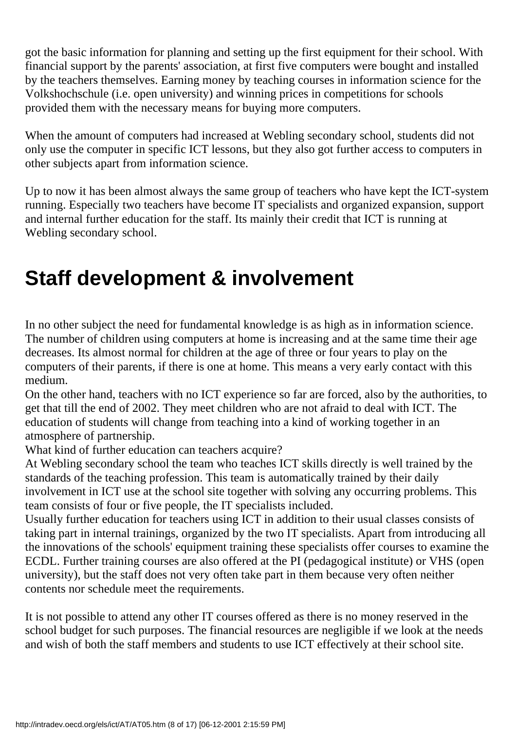got the basic information for planning and setting up the first equipment for their school. With financial support by the parents' association, at first five computers were bought and installed by the teachers themselves. Earning money by teaching courses in information science for the Volkshochschule (i.e. open university) and winning prices in competitions for schools provided them with the necessary means for buying more computers.

When the amount of computers had increased at Webling secondary school, students did not only use the computer in specific ICT lessons, but they also got further access to computers in other subjects apart from information science.

Up to now it has been almost always the same group of teachers who have kept the ICT-system running. Especially two teachers have become IT specialists and organized expansion, support and internal further education for the staff. Its mainly their credit that ICT is running at Webling secondary school.

# **Staff development & involvement**

In no other subject the need for fundamental knowledge is as high as in information science. The number of children using computers at home is increasing and at the same time their age decreases. Its almost normal for children at the age of three or four years to play on the computers of their parents, if there is one at home. This means a very early contact with this medium.

On the other hand, teachers with no ICT experience so far are forced, also by the authorities, to get that till the end of 2002. They meet children who are not afraid to deal with ICT. The education of students will change from teaching into a kind of working together in an atmosphere of partnership.

What kind of further education can teachers acquire?

At Webling secondary school the team who teaches ICT skills directly is well trained by the standards of the teaching profession. This team is automatically trained by their daily involvement in ICT use at the school site together with solving any occurring problems. This team consists of four or five people, the IT specialists included.

Usually further education for teachers using ICT in addition to their usual classes consists of taking part in internal trainings, organized by the two IT specialists. Apart from introducing all the innovations of the schools' equipment training these specialists offer courses to examine the ECDL. Further training courses are also offered at the PI (pedagogical institute) or VHS (open university), but the staff does not very often take part in them because very often neither contents nor schedule meet the requirements.

It is not possible to attend any other IT courses offered as there is no money reserved in the school budget for such purposes. The financial resources are negligible if we look at the needs and wish of both the staff members and students to use ICT effectively at their school site.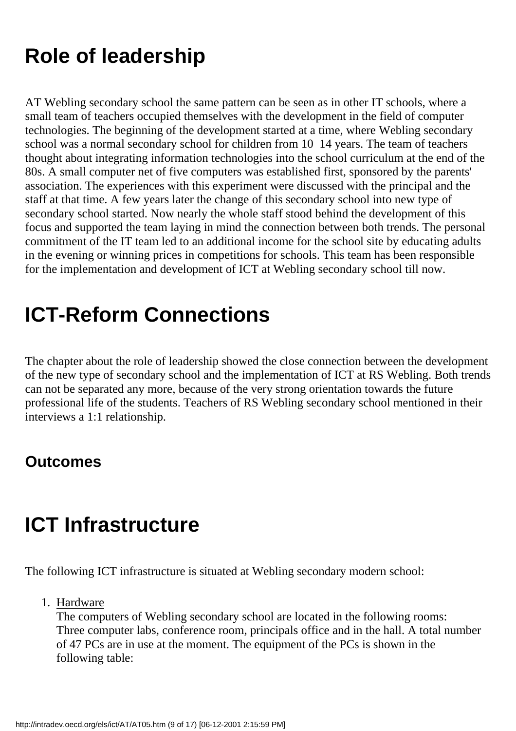# **Role of leadership**

AT Webling secondary school the same pattern can be seen as in other IT schools, where a small team of teachers occupied themselves with the development in the field of computer technologies. The beginning of the development started at a time, where Webling secondary school was a normal secondary school for children from 10 14 years. The team of teachers thought about integrating information technologies into the school curriculum at the end of the 80s. A small computer net of five computers was established first, sponsored by the parents' association. The experiences with this experiment were discussed with the principal and the staff at that time. A few years later the change of this secondary school into new type of secondary school started. Now nearly the whole staff stood behind the development of this focus and supported the team laying in mind the connection between both trends. The personal commitment of the IT team led to an additional income for the school site by educating adults in the evening or winning prices in competitions for schools. This team has been responsible for the implementation and development of ICT at Webling secondary school till now.

# **ICT-Reform Connections**

The chapter about the role of leadership showed the close connection between the development of the new type of secondary school and the implementation of ICT at RS Webling. Both trends can not be separated any more, because of the very strong orientation towards the future professional life of the students. Teachers of RS Webling secondary school mentioned in their interviews a 1:1 relationship.

#### **Outcomes**

# **ICT Infrastructure**

The following ICT infrastructure is situated at Webling secondary modern school:

1. Hardware

The computers of Webling secondary school are located in the following rooms: Three computer labs, conference room, principal s office and in the hall. A total number of 47 PCs are in use at the moment. The equipment of the PCs is shown in the following table: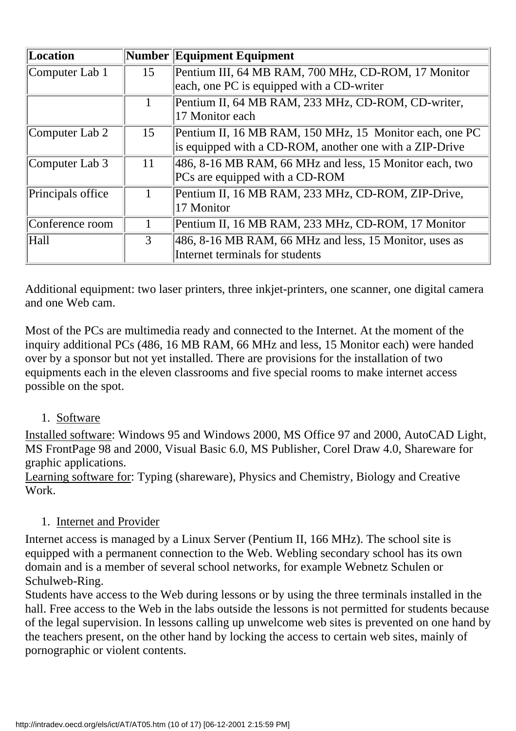| Location           |    | Number Equipment Equipment                                                                                         |
|--------------------|----|--------------------------------------------------------------------------------------------------------------------|
| Computer Lab 1     | 15 | Pentium III, 64 MB RAM, 700 MHz, CD-ROM, 17 Monitor<br>each, one PC is equipped with a CD-writer                   |
|                    |    | Pentium II, 64 MB RAM, 233 MHz, CD-ROM, CD-writer,<br>17 Monitor each                                              |
| Computer Lab 2     | 15 | Pentium II, 16 MB RAM, 150 MHz, 15 Monitor each, one PC<br>is equipped with a CD-ROM, another one with a ZIP-Drive |
| Computer Lab 3     | 11 | 486, 8-16 MB RAM, 66 MHz and less, 15 Monitor each, two<br>PC s are equipped with a CD-ROM                         |
| Principal s office |    | Pentium II, 16 MB RAM, 233 MHz, CD-ROM, ZIP-Drive,<br>17 Monitor                                                   |
| Conference room    |    | Pentium II, 16 MB RAM, 233 MHz, CD-ROM, 17 Monitor                                                                 |
| Hall               | 3  | $ 486, 8-16 \text{ MB RAM}, 66 \text{ MHz}$ and less, 15 Monitor, uses as<br>Internet terminals for students       |

Additional equipment: two laser printers, three inkjet-printers, one scanner, one digital camera and one Web cam.

Most of the PC s are multimedia ready and connected to the Internet. At the moment of the inquiry additional PCs (486, 16 MB RAM, 66 MHz and less, 15 Monitor each) were handed over by a sponsor but not yet installed. There are provisions for the installation of two equipments each in the eleven classrooms and five special rooms to make internet access possible on the spot.

#### 1. Software

Installed software: Windows 95 and Windows 2000, MS Office 97 and 2000, AutoCAD Light, MS FrontPage 98 and 2000, Visual Basic 6.0, MS Publisher, Corel Draw 4.0, Shareware for graphic applications.

Learning software for: Typing (shareware), Physics and Chemistry, Biology and Creative Work.

#### 1. Internet and Provider

Internet access is managed by a Linux Server (Pentium II, 166 MHz). The school site is equipped with a permanent connection to the Web. Webling secondary school has its own domain and is a member of several school networks, for example Webnetz Schulen or Schulweb-Ring.

Students have access to the Web during lessons or by using the three terminals installed in the hall. Free access to the Web in the labs outside the lessons is not permitted for students because of the legal supervision. In lessons calling up unwelcome web sites is prevented on one hand by the teachers present, on the other hand by locking the access to certain web sites, mainly of pornographic or violent contents.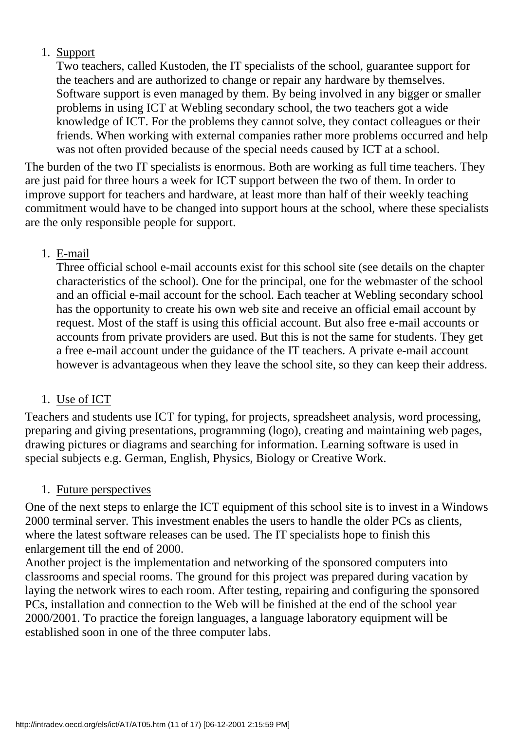#### 1. Support

Two teachers, called Kustoden, the IT specialists of the school, guarantee support for the teachers and are authorized to change or repair any hardware by themselves. Software support is even managed by them. By being involved in any bigger or smaller problems in using ICT at Webling secondary school, the two teachers got a wide knowledge of ICT. For the problems they cannot solve, they contact colleagues or their friends. When working with external companies rather more problems occurred and help was not often provided because of the special needs caused by ICT at a school.

The burden of the two IT specialists is enormous. Both are working as full time teachers. They are just paid for three hours a week for ICT support between the two of them. In order to improve support for teachers and hardware, at least more than half of their weekly teaching commitment would have to be changed into support hours at the school, where these specialists are the only responsible people for support.

#### E-mail 1.

Three official school e-mail accounts exist for this school site (see details on the chapter characteristics of the school). One for the principal, one for the webmaster of the school and an official e-mail account for the school. Each teacher at Webling secondary school has the opportunity to create his own web site and receive an official email account by request. Most of the staff is using this official account. But also free e-mail accounts or accounts from private providers are used. But this is not the same for students. They get a free e-mail account under the guidance of the IT teachers. A private e-mail account however is advantageous when they leave the school site, so they can keep their address.

#### 1. Use of ICT

Teachers and students use ICT for typing, for projects, spreadsheet analysis, word processing, preparing and giving presentations, programming (logo), creating and maintaining web pages, drawing pictures or diagrams and searching for information. Learning software is used in special subjects e.g. German, English, Physics, Biology or Creative Work.

#### 1. Future perspectives

One of the next steps to enlarge the ICT equipment of this school site is to invest in a Windows 2000 terminal server. This investment enables the users to handle the older PC s as clients, where the latest software releases can be used. The IT specialists hope to finish this enlargement till the end of 2000.

Another project is the implementation and networking of the sponsored computers into classrooms and special rooms. The ground for this project was prepared during vacation by laying the network wires to each room. After testing, repairing and configuring the sponsored PC s, installation and connection to the Web will be finished at the end of the school year 2000/2001. To practice the foreign languages, a language laboratory equipment will be established soon in one of the three computer labs.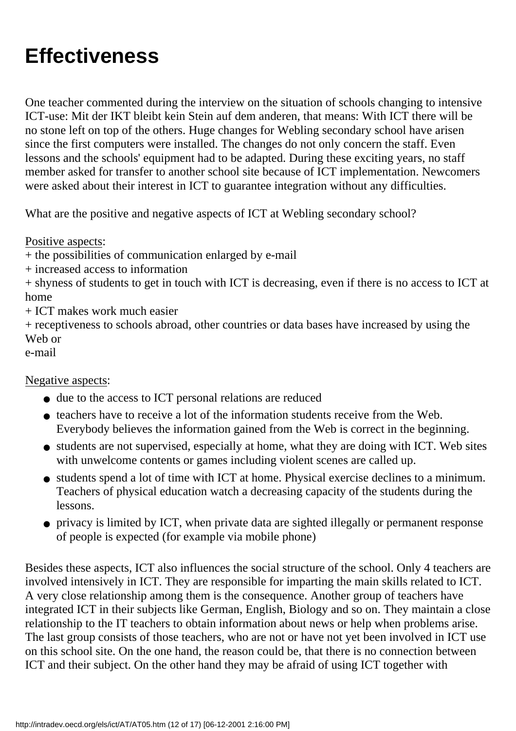# **Effectiveness**

One teacher commented during the interview on the situation of schools changing to intensive ICT-use: Mit der IKT bleibt kein Stein auf dem anderen, that means: With ICT there will be no stone left on top of the others. Huge changes for Webling secondary school have arisen since the first computers were installed. The changes do not only concern the staff. Even lessons and the schools' equipment had to be adapted. During these exciting years, no staff member asked for transfer to another school site because of ICT implementation. Newcomers were asked about their interest in ICT to guarantee integration without any difficulties.

What are the positive and negative aspects of ICT at Webling secondary school?

Positive aspects:

+ the possibilities of communication enlarged by e-mail

+ increased access to information

+ shyness of students to get in touch with ICT is decreasing, even if there is no access to ICT at home

+ ICT makes work much easier

+ receptiveness to schools abroad, other countries or data bases have increased by using the Web or

e-mail

Negative aspects:

- due to the access to ICT personal relations are reduced
- teachers have to receive a lot of the information students receive from the Web. Everybody believes the information gained from the Web is correct in the beginning.
- students are not supervised, especially at home, what they are doing with ICT. Web sites with unwelcome contents or games including violent scenes are called up.
- students spend a lot of time with ICT at home. Physical exercise declines to a minimum. Teachers of physical education watch a decreasing capacity of the students during the lessons.
- privacy is limited by ICT, when private data are sighted illegally or permanent response of people is expected (for example via mobile phone)

Besides these aspects, ICT also influences the social structure of the school. Only 4 teachers are involved intensively in ICT. They are responsible for imparting the main skills related to ICT. A very close relationship among them is the consequence. Another group of teachers have integrated ICT in their subjects like German, English, Biology and so on. They maintain a close relationship to the IT teachers to obtain information about news or help when problems arise. The last group consists of those teachers, who are not or have not yet been involved in ICT use on this school site. On the one hand, the reason could be, that there is no connection between ICT and their subject. On the other hand they may be afraid of using ICT together with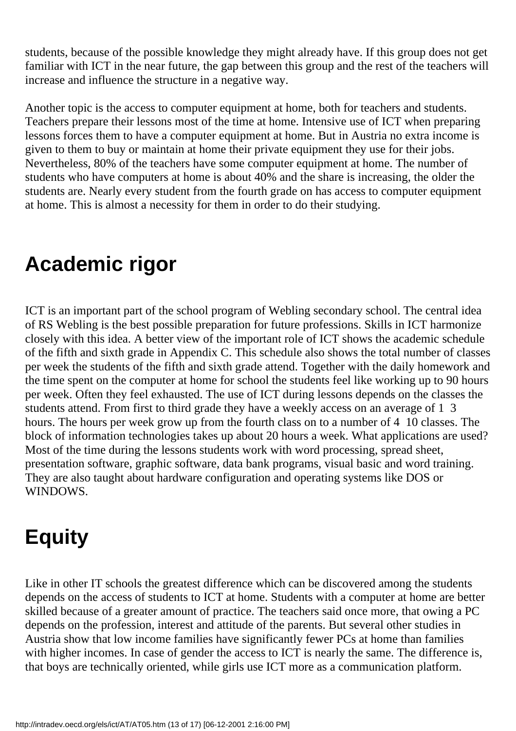students, because of the possible knowledge they might already have. If this group does not get familiar with ICT in the near future, the gap between this group and the rest of the teachers will increase and influence the structure in a negative way.

Another topic is the access to computer equipment at home, both for teachers and students. Teachers prepare their lessons most of the time at home. Intensive use of ICT when preparing lessons forces them to have a computer equipment at home. But in Austria no extra income is given to them to buy or maintain at home their private equipment they use for their jobs. Nevertheless, 80% of the teachers have some computer equipment at home. The number of students who have computers at home is about 40% and the share is increasing, the older the students are. Nearly every student from the fourth grade on has access to computer equipment at home. This is almost a necessity for them in order to do their studying.

# **Academic rigor**

ICT is an important part of the school program of Webling secondary school. The central idea of RS Webling is the best possible preparation for future professions. Skills in ICT harmonize closely with this idea. A better view of the important role of ICT shows the academic schedule of the fifth and sixth grade in Appendix C. This schedule also shows the total number of classes per week the students of the fifth and sixth grade attend. Together with the daily homework and the time spent on the computer at home for school the students feel like working up to 90 hours per week. Often they feel exhausted. The use of ICT during lessons depends on the classes the students attend. From first to third grade they have a weekly access on an average of 1 3 hours. The hours per week grow up from the fourth class on to a number of 4 10 classes. The block of information technologies takes up about 20 hours a week. What applications are used? Most of the time during the lessons students work with word processing, spread sheet, presentation software, graphic software, data bank programs, visual basic and word training. They are also taught about hardware configuration and operating systems like DOS or WINDOWS.

# **Equity**

Like in other IT schools the greatest difference which can be discovered among the students depends on the access of students to ICT at home. Students with a computer at home are better skilled because of a greater amount of practice. The teachers said once more, that owing a PC depends on the profession, interest and attitude of the parents. But several other studies in Austria show that low income families have significantly fewer PC s at home than families with higher incomes. In case of gender the access to ICT is nearly the same. The difference is, that boys are technically oriented, while girls use ICT more as a communication platform.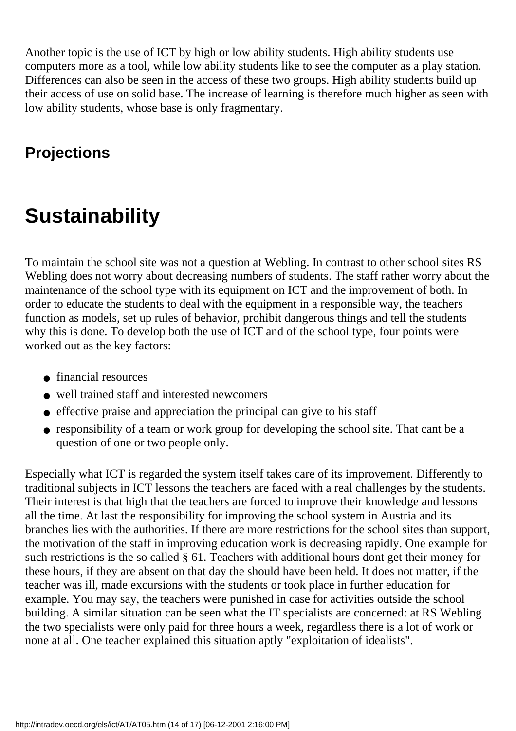Another topic is the use of ICT by high or low ability students. High ability students use computers more as a tool, while low ability students like to see the computer as a play station. Differences can also be seen in the access of these two groups. High ability students build up their access of use on solid base. The increase of learning is therefore much higher as seen with low ability students, whose base is only fragmentary.

## **Projections**

# **Sustainability**

To maintain the school site was not a question at Webling. In contrast to other school sites RS Webling does not worry about decreasing numbers of students. The staff rather worry about the maintenance of the school type with its equipment on ICT and the improvement of both. In order to educate the students to deal with the equipment in a responsible way, the teachers function as models, set up rules of behavior, prohibit dangerous things and tell the students why this is done. To develop both the use of ICT and of the school type, four points were worked out as the key factors:

- financial resources
- well trained staff and interested newcomers
- effective praise and appreciation the principal can give to his staff
- responsibility of a team or work group for developing the school site. That can t be a question of one or two people only.

Especially what ICT is regarded the system itself takes care of its improvement. Differently to traditional subjects in ICT lessons the teachers are faced with a real challenges by the students. Their interest is that high that the teachers are forced to improve their knowledge and lessons all the time. At last the responsibility for improving the school system in Austria and its branches lies with the authorities. If there are more restrictions for the school sites than support, the motivation of the staff in improving education work is decreasing rapidly. One example for such restrictions is the so called § 61. Teachers with additional hours dont get their money for these hours, if they are absent on that day the should have been held. It does not matter, if the teacher was ill, made excursions with the students or took place in further education for example. You may say, the teachers were punished in case for activities outside the school building. A similar situation can be seen what the IT specialists are concerned: at RS Webling the two specialists were only paid for three hours a week, regardless there is a lot of work or none at all. One teacher explained this situation aptly "exploitation of idealists".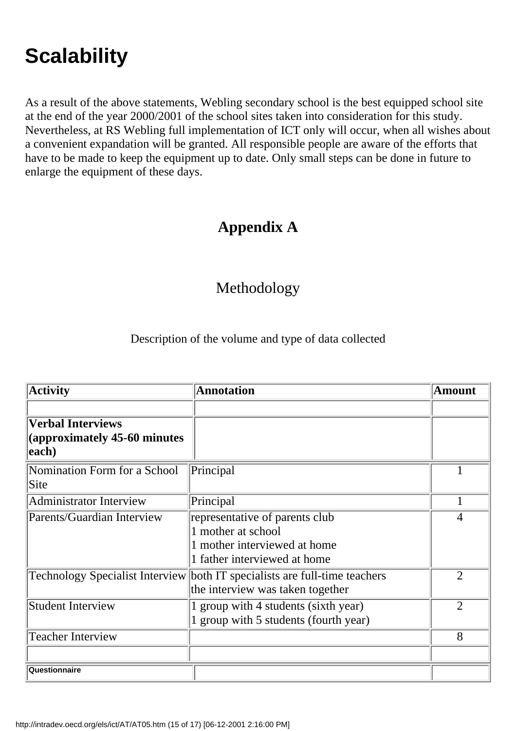# **Scalability**

As a result of the above statements, Webling secondary school is the best equipped school site at the end of the year 2000/2001 of the school sites taken into consideration for this study. Nevertheless, at RS Webling full implementation of ICT only will occur, when all wishes about a convenient expandation will be granted. All responsible people are aware of the efforts that have to be made to keep the equipment up to date. Only small steps can be done in future to enlarge the equipment of these days.

### **Appendix A**

#### Methodology

Description of the volume and type of data collected

| <b>Activity</b>                                                    | <b>Annotation</b>                                                                                                    | <b>Amount</b>  |
|--------------------------------------------------------------------|----------------------------------------------------------------------------------------------------------------------|----------------|
|                                                                    |                                                                                                                      |                |
| <b>Verbal Interviews</b><br>(approximately 45-60 minutes)<br>each) |                                                                                                                      |                |
| Nomination Form for a School<br>Site                               | Principal                                                                                                            |                |
| Administrator Interview                                            | Principal                                                                                                            | 1              |
| Parents/Guardian Interview                                         | representative of parents club<br>1 mother at school<br>1 mother interviewed at home<br>1 father interviewed at home | 4              |
| <b>Technology Specialist Interview</b>                             | both IT specialists are full-time teachers<br>the interview was taken together                                       | $\overline{2}$ |
| Student Interview                                                  | 1 group with 4 students (sixth year)<br>1 group with 5 students (fourth year)                                        |                |
| <b>Teacher Interview</b>                                           |                                                                                                                      | 8              |
| Questionnaire                                                      |                                                                                                                      |                |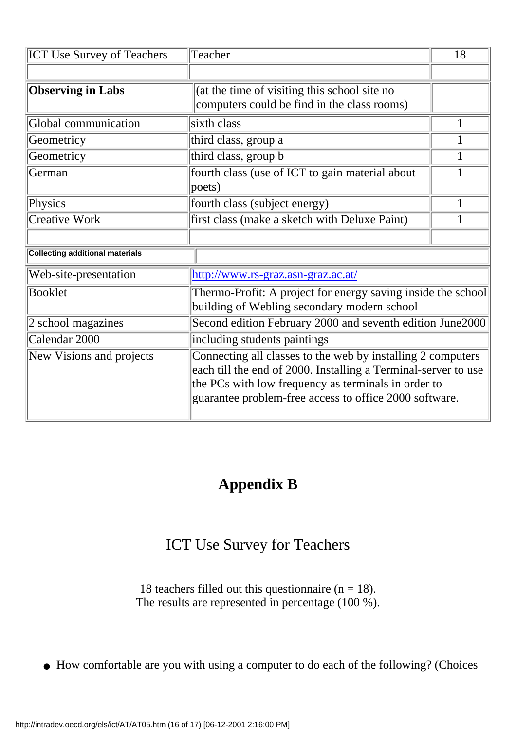| <b>ICT Use Survey of Teachers</b>      | Teacher                                                                                                                                                                                                                                         | 18 |  |
|----------------------------------------|-------------------------------------------------------------------------------------------------------------------------------------------------------------------------------------------------------------------------------------------------|----|--|
|                                        |                                                                                                                                                                                                                                                 |    |  |
| <b>Observing in Labs</b>               | (at the time of visiting this school site no<br>computers could be find in the class rooms)                                                                                                                                                     |    |  |
| Global communication                   | sixth class                                                                                                                                                                                                                                     | 1  |  |
| Geometricy                             | third class, group a                                                                                                                                                                                                                            | 1  |  |
| Geometricy                             | third class, group b                                                                                                                                                                                                                            | 1  |  |
| German                                 | fourth class (use of ICT to gain material about<br>poets)                                                                                                                                                                                       | 1  |  |
| Physics                                | fourth class (subject energy)                                                                                                                                                                                                                   | 1  |  |
| Creative Work                          | first class (make a sketch with Deluxe Paint)                                                                                                                                                                                                   |    |  |
|                                        |                                                                                                                                                                                                                                                 |    |  |
| <b>Collecting additional materials</b> |                                                                                                                                                                                                                                                 |    |  |
| Web-site-presentation                  | http://www.rs-graz.asn-graz.ac.at/                                                                                                                                                                                                              |    |  |
| Booklet                                | Thermo-Profit: A project for energy saving inside the school<br>building of Webling secondary modern school                                                                                                                                     |    |  |
| 2 school magazines                     | Second edition February 2000 and seventh edition June2000                                                                                                                                                                                       |    |  |
| Calendar 2000                          | including students paintings                                                                                                                                                                                                                    |    |  |
| New Visions and projects               | Connecting all classes to the web by installing 2 computers<br>each till the end of 2000. Installing a Terminal-server to use<br>the PC s with low frequency as terminals in order to<br>guarantee problem-free access to office 2000 software. |    |  |

### **Appendix B**

#### ICT Use Survey for Teachers

18 teachers filled out this questionnaire ( $n = 18$ ). The results are represented in percentage (100 %).

● How comfortable are you with using a computer to do each of the following? (Choices